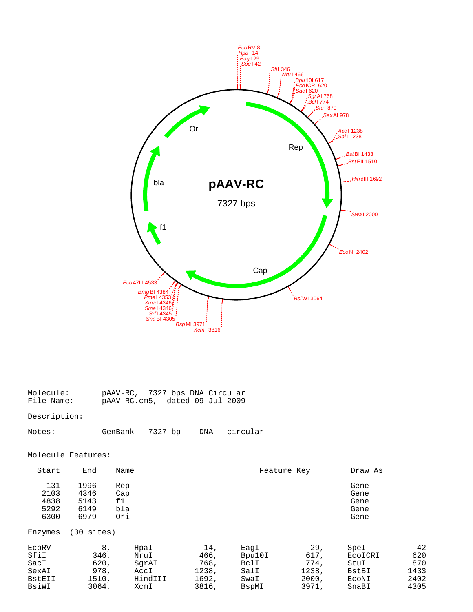

| Molecule:  | pAAV-RC, 7327 bps DNA Circular |  |
|------------|--------------------------------|--|
| File Name: | pAAV-RC.cm5, dated 09 Jul 2009 |  |

## Description:

| Notes: | GenBank | 7327 bp | DNA | circular |
|--------|---------|---------|-----|----------|
|--------|---------|---------|-----|----------|

## Molecule Features:

| Start                                             | End                                          | Name                                             |                                                |                                                 | Feature Key                                    | Draw As                                            |                                          |
|---------------------------------------------------|----------------------------------------------|--------------------------------------------------|------------------------------------------------|-------------------------------------------------|------------------------------------------------|----------------------------------------------------|------------------------------------------|
| 131<br>2103<br>4838<br>5292<br>6300               | 1996<br>4346<br>5143<br>6149<br>6979         | Rep<br>Cap<br>f1<br>bla<br>Ori                   |                                                |                                                 |                                                | Gene<br>Gene<br>Gene<br>Gene<br>Gene               |                                          |
| Enzymes                                           | 30<br>sites)                                 |                                                  |                                                |                                                 |                                                |                                                    |                                          |
| ECORV<br>Sfil<br>SacI<br>SexAI<br>BstEII<br>BsiWI | 8,<br>346,<br>620,<br>978,<br>1510,<br>3064, | HpaI<br>NruI<br>SqrAI<br>AccI<br>HindIII<br>XcmI | 14,<br>466,<br>768,<br>1238,<br>1692,<br>3816, | EaqI<br>Bpu10I<br>BclI<br>SalI<br>SwaI<br>BspMI | 29,<br>617,<br>774.<br>1238,<br>2000,<br>3971, | SpeI<br>ECOICRI<br>StuI<br>BstBI<br>ECONI<br>SnaBI | 42<br>620<br>870<br>1433<br>2402<br>4305 |